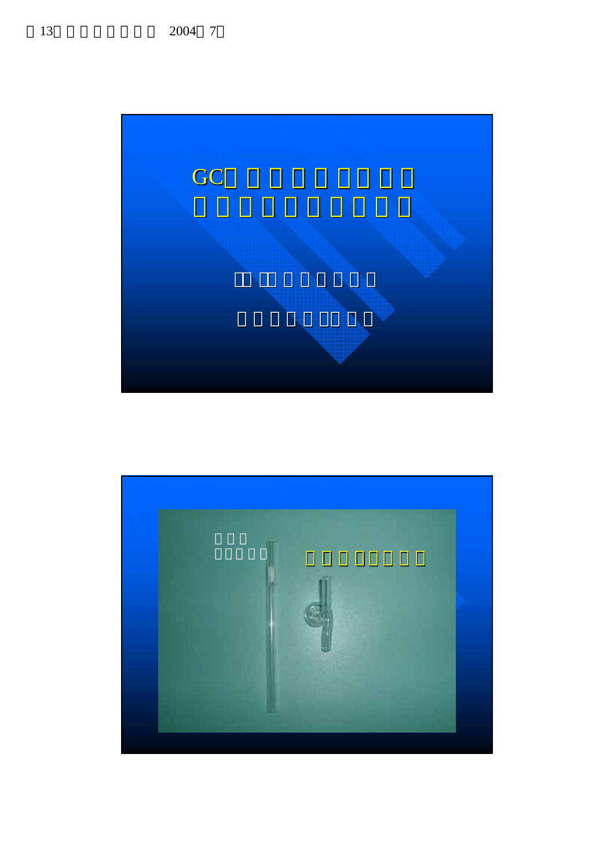

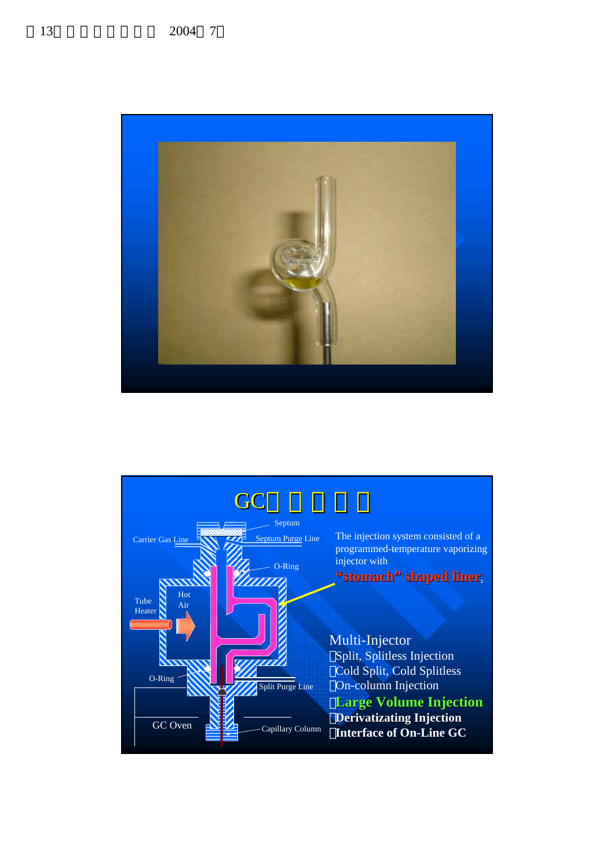

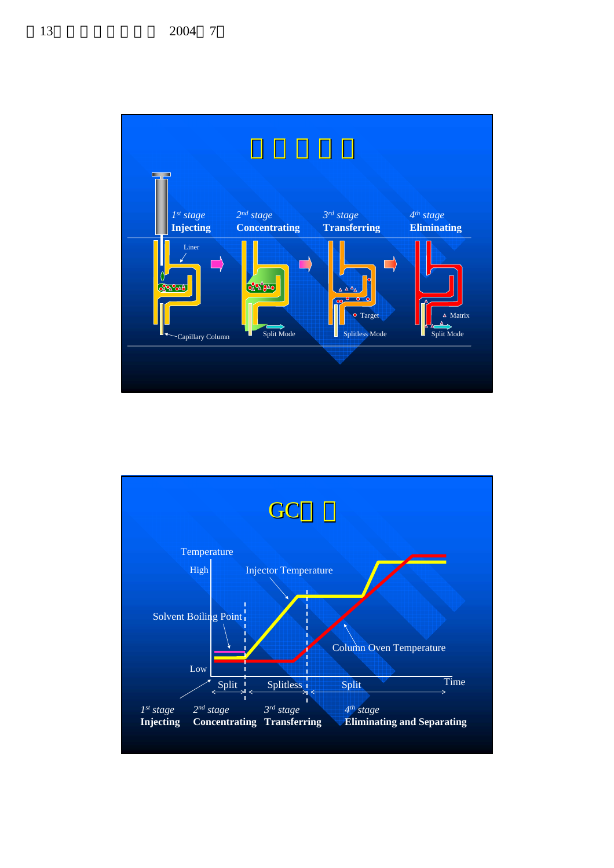

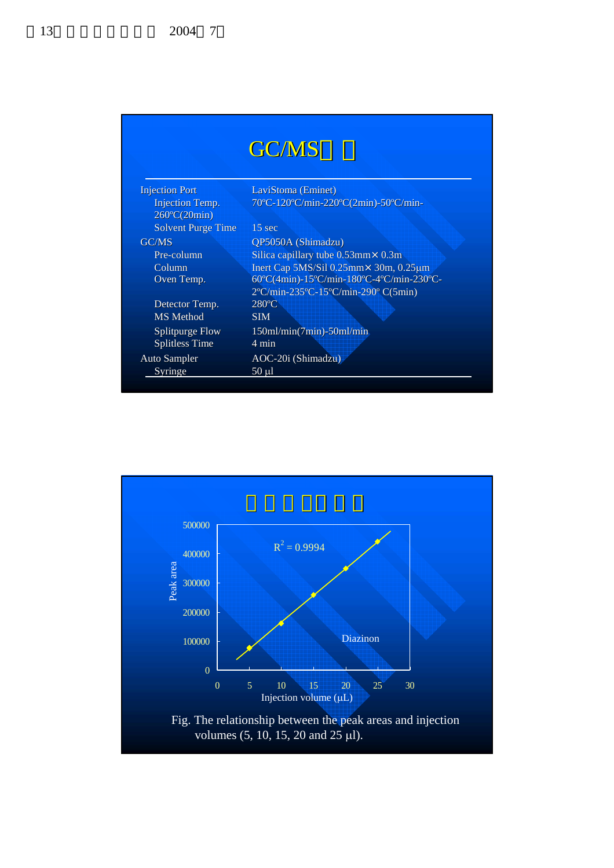|                                                 | <b>GC/MS</b>                             |
|-------------------------------------------------|------------------------------------------|
| <b>Injection Port</b>                           | LaviStoma (Eminet)                       |
| <b>Injection Temp.</b><br>$260^{\circ}C(20min)$ | 70°C-120°C/min-220°C(2min)-50°C/min-     |
| <b>Solvent Purge Time</b>                       | $15 \text{ sec}$                         |
| <b>GC/MS</b>                                    | QP5050A (Shimadzu)                       |
| Pre-column                                      | Silica capillary tube 0.53mm× 0.3m       |
| Column                                          | Inert Cap 5MS/Sil 0.25mm× 30m, 0.25µm    |
| Oven Temp.                                      | 60°C(4min)-15°C/min-180°C-4°C/min-230°C- |
|                                                 | 2°C/min-235°C-15°C/min-290° C(5min)      |
| Detector Temp.                                  | $280^{\circ}$ C                          |
| <b>MS</b> Method                                | <b>SIM</b>                               |
| <b>Splitpurge Flow</b>                          | $150ml/min(7min)-50ml/min$               |
| <b>Splitless Time</b>                           | 4 min                                    |
| <b>Auto Sampler</b>                             | AOC-20i (Shimadzu)                       |
| Syringe                                         | $50 \mu$                                 |

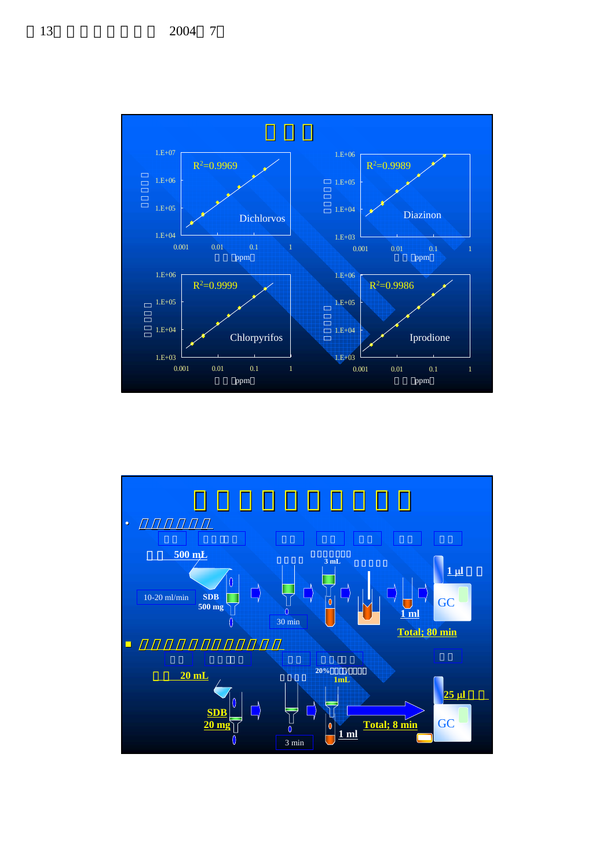

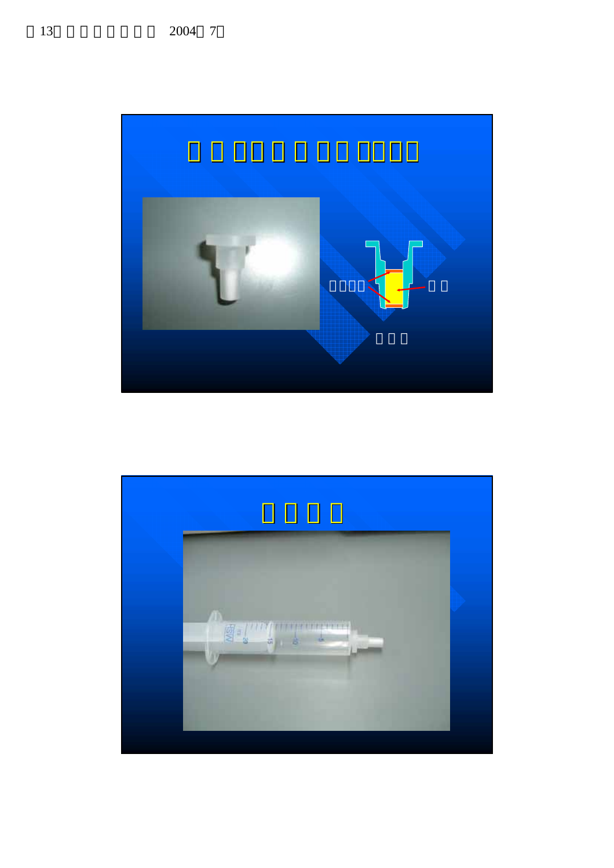

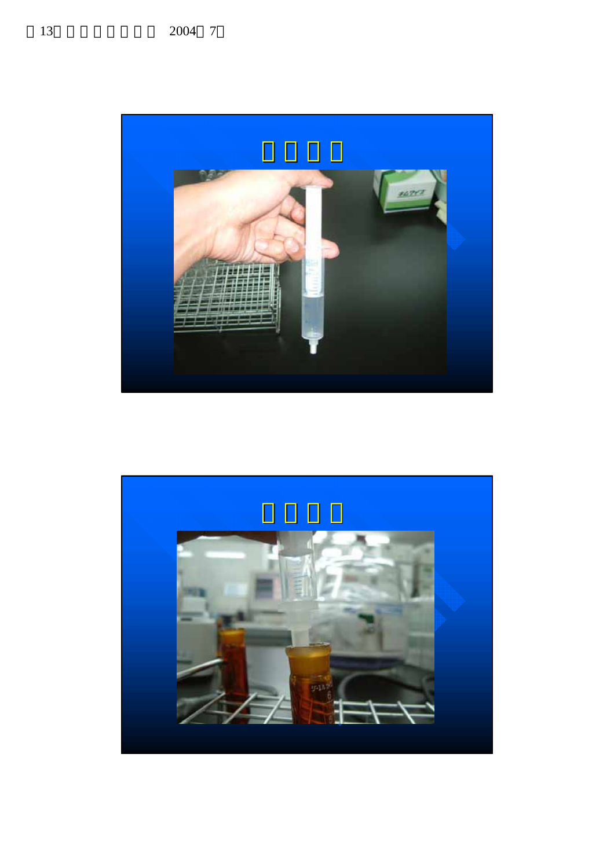

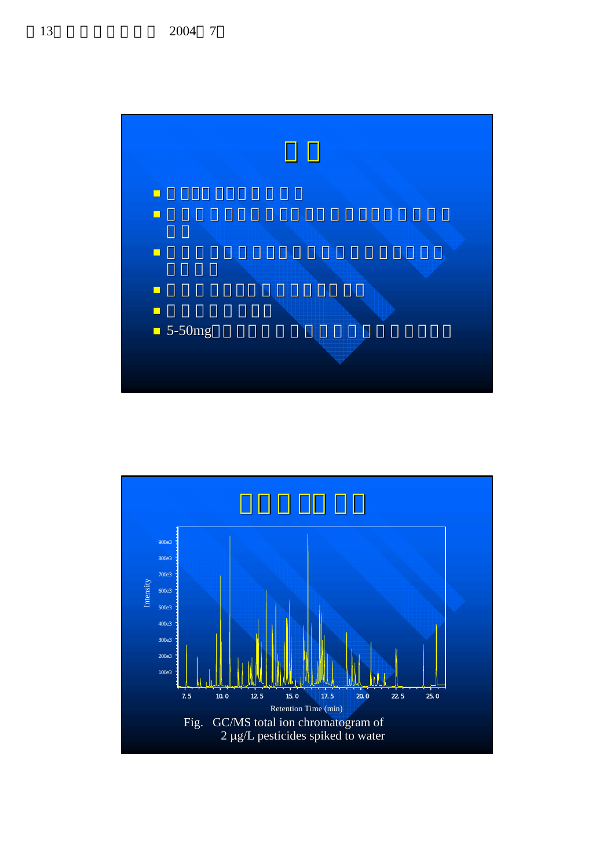

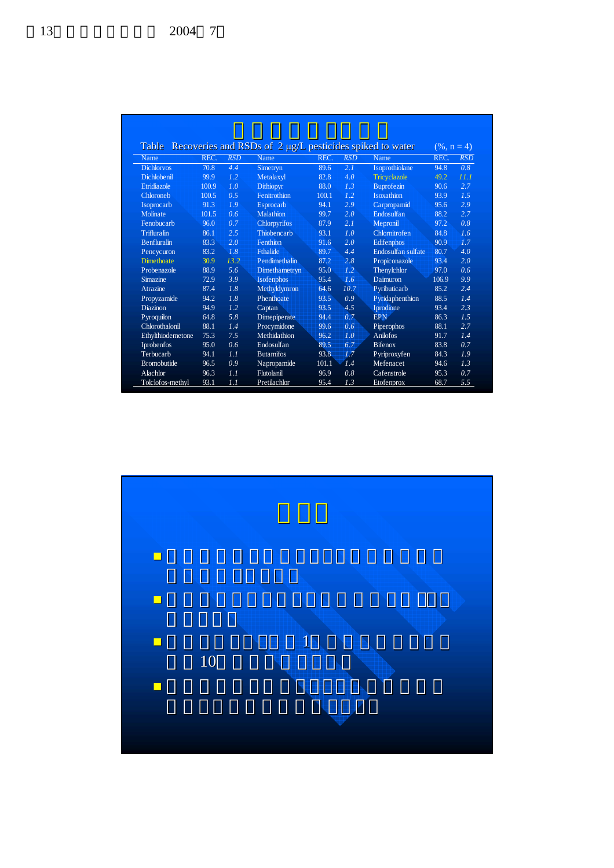| Name               | REC.  | RSD  | Name                | REC.  | RSD  | Name               | REC.  | $\overline{RSD}$ |
|--------------------|-------|------|---------------------|-------|------|--------------------|-------|------------------|
| <b>Dichlorvos</b>  | 70.8  | 4.4  | Simetryn            | 89.6  | 2.1  | Isoprothiolane     | 94.8  | 0.8              |
| Dichlobenil        | 99.9  | 1.2  | Metalaxyl           | 82.8  | 4.0  | Tricyclazole       | 49.2  | 11.1             |
| Etridiazole        | 100.9 | 1.0  | <b>Dithiopyr</b>    | 88.0  | 1.3  | <b>Buprofezin</b>  | 90.6  | 2.7              |
| Chloroneb          | 100.5 | 0.5  | Fenitrothion        | 100.1 | 1.2  | <b>Isoxathion</b>  | 93.9  | 1.5              |
| Isoprocarb         | 91.3  | 1.9  | Esprocarb           | 94.1  | 2.9  | Carpropamid        | 95.6  | 2.9              |
| Molinate           | 101.5 | 0.6  | Malathion           | 99.7  | 2.0  | Endosulfan         | 88.2  | 2.7              |
| Fenobucarb         | 96.0  | 0.7  | <b>Chlorpyrifos</b> | 87.9  | 2.1  | Mepronil           | 97.2  | 0.8              |
| <b>Trifluralin</b> | 86.1  | 2.5  | Thiobencarb         | 93.1  | 1.0  | Chlornitrofen      | 84.8  | 1.6              |
| <b>Benfluralin</b> | 83.3  | 2.0  | Fenthion            | 91.6  | 2.0  | Edifenphos         | 90.9  | 1.7              |
| Pencycuron         | 83.2  | 1.8  | <b>Fthalide</b>     | 89.7  | 4.4  | Endosulfan sulfate | 80.7  | 4.0              |
| Dimethoate         | 30.9  | 13.2 | Pendimethalin       | 87.2  | 2.8  | Propiconazole      | 93.4  | 2.0              |
| Probenazole        | 88.9  | 5.6  | Dimethametryn       | 95.0  | 1.2  | Thenylchlor        | 97.0  | 0.6              |
| Simazine           | 72.9  | 3.9  | Isofenphos          | 95.4  | 1.6  | Daimuron           | 106.9 | 9.9              |
| Atrazine           | 87.4  | 1.8  | Methyldymron        | 64.6  | 10.7 | Pyributicarb       | 85.2  | 2.4              |
| Propyzamide        | 94.2  | 1.8  | Phenthoate          | 93.5  | 0.9  | Pyridaphenthion    | 88.5  | 1.4              |
| <b>Diazinon</b>    | 94.9  | 1.2  | Captan              | 93.5  | 4.5  | Iprodione          | 93.4  | 2.3              |
| Pyroquilon         | 64.8  | 5.8  | Dimepiperate        | 94.4  | 0.7  | <b>EPN</b>         | 86.3  | 1.5              |
| Chlorothalonil     | 88.1  | 1.4  | Procymidone         | 99.6  | 0.6  | Piperophos         | 88.1  | 2.7              |
| Ethylthiodemetone  | 75.3  | 7.5  | Methidathion        | 96.2  | 1.0  | Anilofos           | 91.7  | 1.4              |
| Iprobenfos         | 95.0  | 0.6  | Endosulfan          | 89.5  | 6.7  | <b>Bifenox</b>     | 83.8  | 0.7              |
| Terbucarb          | 94.1  | 1.1  | <b>Butamifos</b>    | 93.8  | 1.7  | Pyriproxyfen       | 84.3  | 1.9              |
| Bromobutide        | 96.5  | 0.9  | Napropamide         | 101.1 | 1.4  | Mefenacet          | 94.6  | 1.3              |
| Alachlor           | 96.3  | 1.1  | Flutolanil          | 96.9  | 0.8  | Cafenstrole        | 95.3  | 0.7              |
| Tolclofos-methyl   | 93.1  | 1.1  | Pretilachlor        | 95.4  | 1.3  | Etofenprox         | 68.7  | 5.5              |